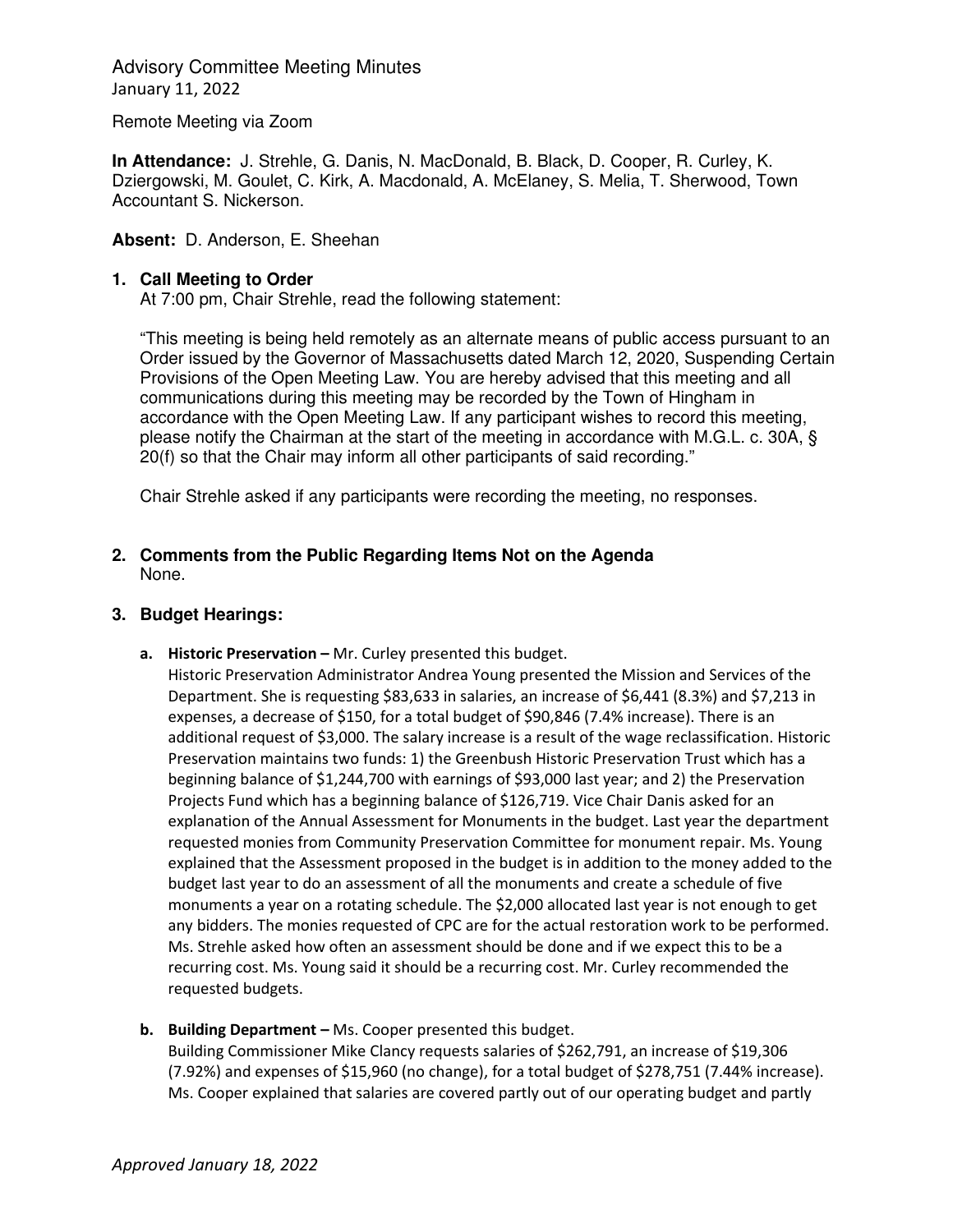Remote Meeting via Zoom

**In Attendance:** J. Strehle, G. Danis, N. MacDonald, B. Black, D. Cooper, R. Curley, K. Dziergowski, M. Goulet, C. Kirk, A. Macdonald, A. McElaney, S. Melia, T. Sherwood, Town Accountant S. Nickerson.

**Absent:** D. Anderson, E. Sheehan

## **1. Call Meeting to Order**

At 7:00 pm, Chair Strehle, read the following statement:

"This meeting is being held remotely as an alternate means of public access pursuant to an Order issued by the Governor of Massachusetts dated March 12, 2020, Suspending Certain Provisions of the Open Meeting Law. You are hereby advised that this meeting and all communications during this meeting may be recorded by the Town of Hingham in accordance with the Open Meeting Law. If any participant wishes to record this meeting, please notify the Chairman at the start of the meeting in accordance with M.G.L. c. 30A, § 20(f) so that the Chair may inform all other participants of said recording."

Chair Strehle asked if any participants were recording the meeting, no responses.

## **2. Comments from the Public Regarding Items Not on the Agenda**  None.

## **3. Budget Hearings:**

**a. Historic Preservation –** Mr. Curley presented this budget.

Historic Preservation Administrator Andrea Young presented the Mission and Services of the Department. She is requesting \$83,633 in salaries, an increase of \$6,441 (8.3%) and \$7,213 in expenses, a decrease of \$150, for a total budget of \$90,846 (7.4% increase). There is an additional request of \$3,000. The salary increase is a result of the wage reclassification. Historic Preservation maintains two funds: 1) the Greenbush Historic Preservation Trust which has a beginning balance of \$1,244,700 with earnings of \$93,000 last year; and 2) the Preservation Projects Fund which has a beginning balance of \$126,719. Vice Chair Danis asked for an explanation of the Annual Assessment for Monuments in the budget. Last year the department requested monies from Community Preservation Committee for monument repair. Ms. Young explained that the Assessment proposed in the budget is in addition to the money added to the budget last year to do an assessment of all the monuments and create a schedule of five monuments a year on a rotating schedule. The \$2,000 allocated last year is not enough to get any bidders. The monies requested of CPC are for the actual restoration work to be performed. Ms. Strehle asked how often an assessment should be done and if we expect this to be a recurring cost. Ms. Young said it should be a recurring cost. Mr. Curley recommended the requested budgets.

**b. Building Department –** Ms. Cooper presented this budget. Building Commissioner Mike Clancy requests salaries of \$262,791, an increase of \$19,306 (7.92%) and expenses of \$15,960 (no change), for a total budget of \$278,751 (7.44% increase). Ms. Cooper explained that salaries are covered partly out of our operating budget and partly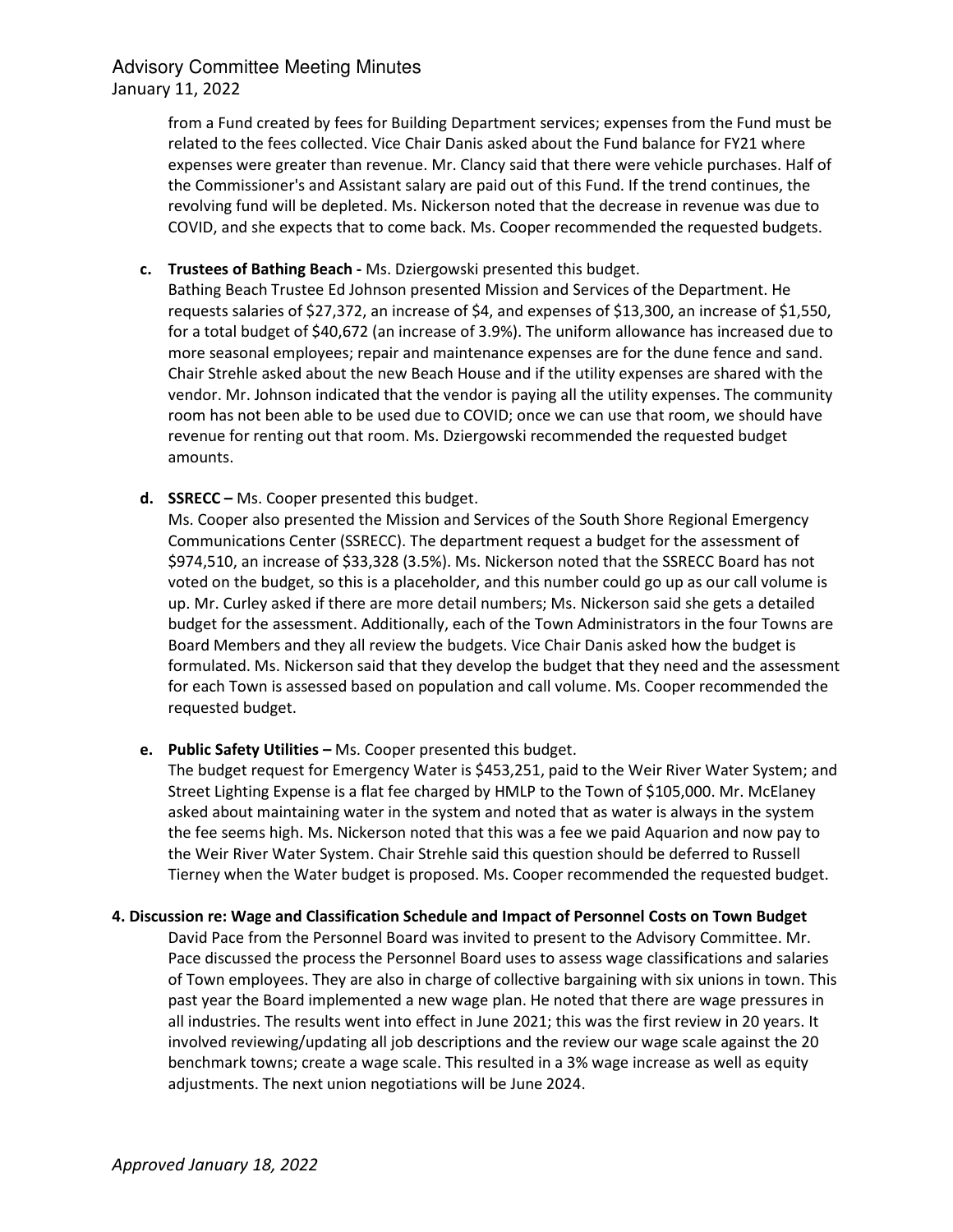from a Fund created by fees for Building Department services; expenses from the Fund must be related to the fees collected. Vice Chair Danis asked about the Fund balance for FY21 where expenses were greater than revenue. Mr. Clancy said that there were vehicle purchases. Half of the Commissioner's and Assistant salary are paid out of this Fund. If the trend continues, the revolving fund will be depleted. Ms. Nickerson noted that the decrease in revenue was due to COVID, and she expects that to come back. Ms. Cooper recommended the requested budgets.

## **c. Trustees of Bathing Beach -** Ms. Dziergowski presented this budget.

Bathing Beach Trustee Ed Johnson presented Mission and Services of the Department. He requests salaries of \$27,372, an increase of \$4, and expenses of \$13,300, an increase of \$1,550, for a total budget of \$40,672 (an increase of 3.9%). The uniform allowance has increased due to more seasonal employees; repair and maintenance expenses are for the dune fence and sand. Chair Strehle asked about the new Beach House and if the utility expenses are shared with the vendor. Mr. Johnson indicated that the vendor is paying all the utility expenses. The community room has not been able to be used due to COVID; once we can use that room, we should have revenue for renting out that room. Ms. Dziergowski recommended the requested budget amounts.

**d. SSRECC –** Ms. Cooper presented this budget.

Ms. Cooper also presented the Mission and Services of the South Shore Regional Emergency Communications Center (SSRECC). The department request a budget for the assessment of \$974,510, an increase of \$33,328 (3.5%). Ms. Nickerson noted that the SSRECC Board has not voted on the budget, so this is a placeholder, and this number could go up as our call volume is up. Mr. Curley asked if there are more detail numbers; Ms. Nickerson said she gets a detailed budget for the assessment. Additionally, each of the Town Administrators in the four Towns are Board Members and they all review the budgets. Vice Chair Danis asked how the budget is formulated. Ms. Nickerson said that they develop the budget that they need and the assessment for each Town is assessed based on population and call volume. Ms. Cooper recommended the requested budget.

## **e. Public Safety Utilities –** Ms. Cooper presented this budget.

The budget request for Emergency Water is \$453,251, paid to the Weir River Water System; and Street Lighting Expense is a flat fee charged by HMLP to the Town of \$105,000. Mr. McElaney asked about maintaining water in the system and noted that as water is always in the system the fee seems high. Ms. Nickerson noted that this was a fee we paid Aquarion and now pay to the Weir River Water System. Chair Strehle said this question should be deferred to Russell Tierney when the Water budget is proposed. Ms. Cooper recommended the requested budget.

#### **4. Discussion re: Wage and Classification Schedule and Impact of Personnel Costs on Town Budget**

David Pace from the Personnel Board was invited to present to the Advisory Committee. Mr. Pace discussed the process the Personnel Board uses to assess wage classifications and salaries of Town employees. They are also in charge of collective bargaining with six unions in town. This past year the Board implemented a new wage plan. He noted that there are wage pressures in all industries. The results went into effect in June 2021; this was the first review in 20 years. It involved reviewing/updating all job descriptions and the review our wage scale against the 20 benchmark towns; create a wage scale. This resulted in a 3% wage increase as well as equity adjustments. The next union negotiations will be June 2024.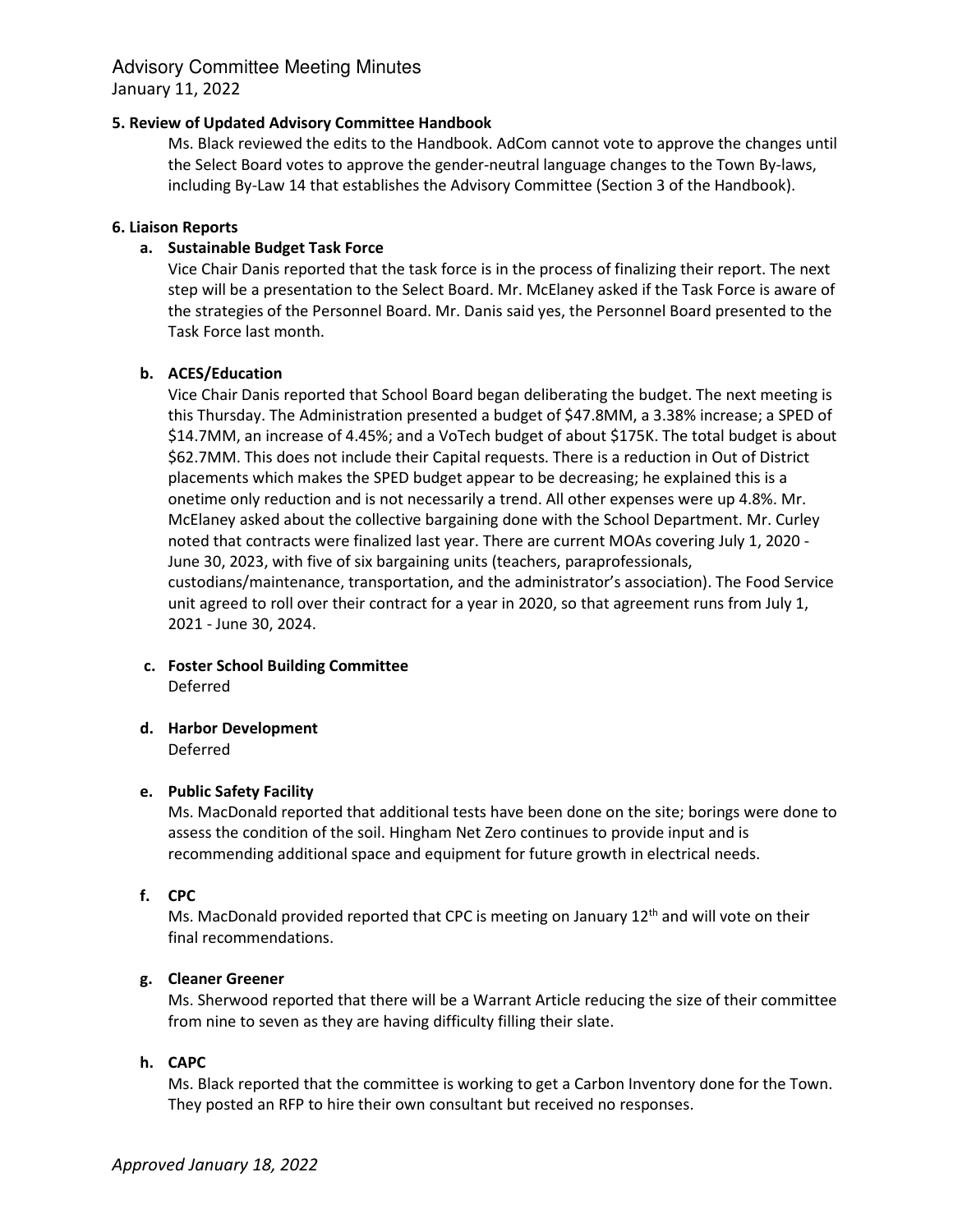#### **5. Review of Updated Advisory Committee Handbook**

Ms. Black reviewed the edits to the Handbook. AdCom cannot vote to approve the changes until the Select Board votes to approve the gender-neutral language changes to the Town By-laws, including By-Law 14 that establishes the Advisory Committee (Section 3 of the Handbook).

#### **6. Liaison Reports**

### **a. Sustainable Budget Task Force**

Vice Chair Danis reported that the task force is in the process of finalizing their report. The next step will be a presentation to the Select Board. Mr. McElaney asked if the Task Force is aware of the strategies of the Personnel Board. Mr. Danis said yes, the Personnel Board presented to the Task Force last month.

#### **b. ACES/Education**

Vice Chair Danis reported that School Board began deliberating the budget. The next meeting is this Thursday. The Administration presented a budget of \$47.8MM, a 3.38% increase; a SPED of \$14.7MM, an increase of 4.45%; and a VoTech budget of about \$175K. The total budget is about \$62.7MM. This does not include their Capital requests. There is a reduction in Out of District placements which makes the SPED budget appear to be decreasing; he explained this is a onetime only reduction and is not necessarily a trend. All other expenses were up 4.8%. Mr. McElaney asked about the collective bargaining done with the School Department. Mr. Curley noted that contracts were finalized last year. There are current MOAs covering July 1, 2020 - June 30, 2023, with five of six bargaining units (teachers, paraprofessionals, custodians/maintenance, transportation, and the administrator's association). The Food Service unit agreed to roll over their contract for a year in 2020, so that agreement runs from July 1, 2021 - June 30, 2024.

**c. Foster School Building Committee**  Deferred

### **d. Harbor Development**

Deferred

#### **e. Public Safety Facility**

Ms. MacDonald reported that additional tests have been done on the site; borings were done to assess the condition of the soil. Hingham Net Zero continues to provide input and is recommending additional space and equipment for future growth in electrical needs.

#### **f. CPC**

Ms. MacDonald provided reported that CPC is meeting on January  $12<sup>th</sup>$  and will vote on their final recommendations.

#### **g. Cleaner Greener**

Ms. Sherwood reported that there will be a Warrant Article reducing the size of their committee from nine to seven as they are having difficulty filling their slate.

## **h. CAPC**

Ms. Black reported that the committee is working to get a Carbon Inventory done for the Town. They posted an RFP to hire their own consultant but received no responses.